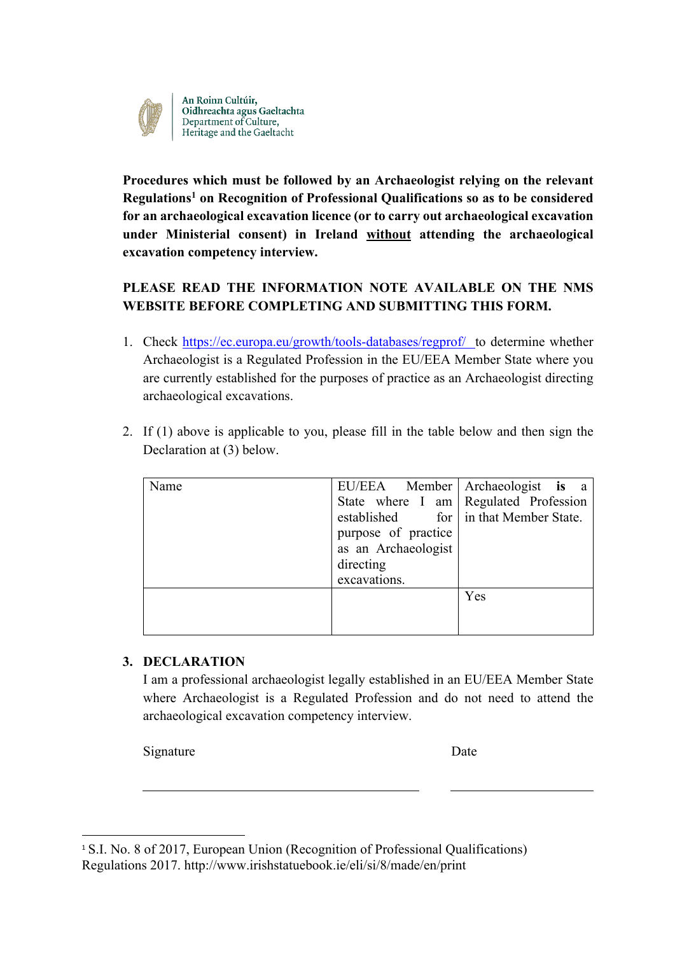

An Roinn Cultúir,<br>Oidhreachta agus Gaeltachta<br>Department of Culture,<br>Heritage and the Gaeltacht

**Procedures which must be followed by an Archaeologist relying on the relevant Regulations1 on Recognition of Professional Qualifications so as to be considered for an archaeological excavation licence (or to carry out archaeological excavation under Ministerial consent) in Ireland without attending the archaeological excavation competency interview.**

# **PLEASE READ THE INFORMATION NOTE AVAILABLE ON THE NMS WEBSITE BEFORE COMPLETING AND SUBMITTING THIS FORM.**

- 1. Check https://ec.europa.eu/growth/tools-databases/regprof/ to determine whether Archaeologist is a Regulated Profession in the EU/EEA Member State where you are currently established for the purposes of practice as an Archaeologist directing archaeological excavations.
- 2. If (1) above is applicable to you, please fill in the table below and then sign the Declaration at (3) below.

| Name |                     | EU/EEA Member Archaeologist is a        |
|------|---------------------|-----------------------------------------|
|      |                     | State where I am   Regulated Profession |
|      |                     | established for in that Member State.   |
|      | purpose of practice |                                         |
|      | as an Archaeologist |                                         |
|      | directing           |                                         |
|      | excavations.        |                                         |
|      |                     | Yes                                     |
|      |                     |                                         |
|      |                     |                                         |

### **3. DECLARATION**

I am a professional archaeologist legally established in an EU/EEA Member State where Archaeologist is a Regulated Profession and do not need to attend the archaeological excavation competency interview.

Signature Date

<sup>1</sup> S.I. No. 8 of 2017, European Union (Recognition of Professional Qualifications) Regulations 2017. http://www.irishstatuebook.ie/eli/si/8/made/en/print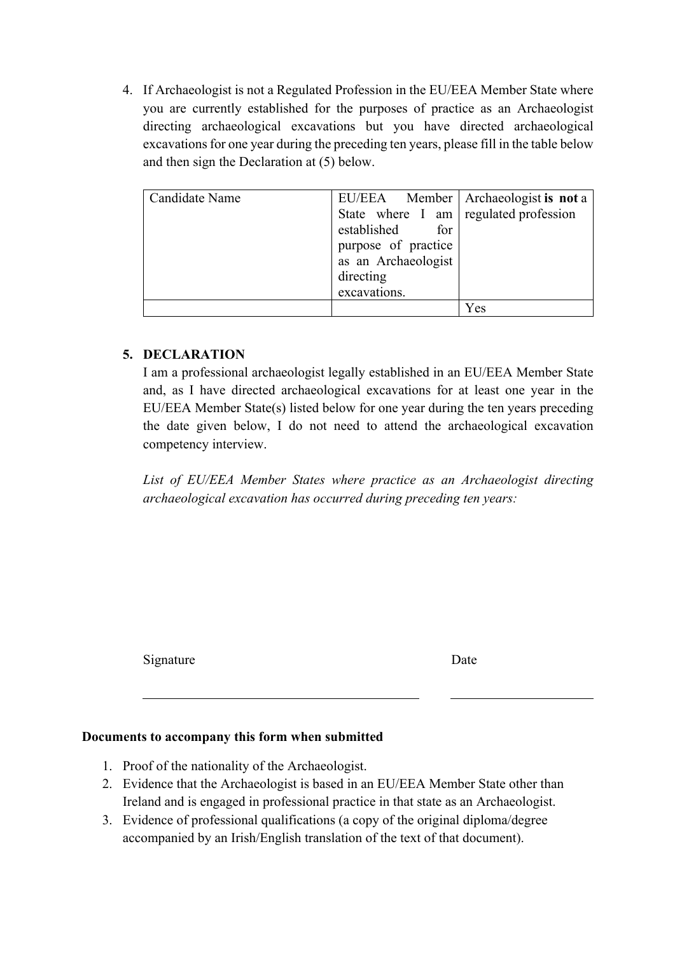4. If Archaeologist is not a Regulated Profession in the EU/EEA Member State where you are currently established for the purposes of practice as an Archaeologist directing archaeological excavations but you have directed archaeological excavations for one year during the preceding ten years, please fill in the table below and then sign the Declaration at (5) below.

| Candidate Name |                                       | EU/EEA Member   Archaeologist is not a |
|----------------|---------------------------------------|----------------------------------------|
|                | State where I am regulated profession |                                        |
|                | established<br>for                    |                                        |
|                | purpose of practice                   |                                        |
|                | as an Archaeologist                   |                                        |
|                | directing                             |                                        |
|                | excavations.                          |                                        |
|                |                                       | Yes                                    |

### **5. DECLARATION**

I am a professional archaeologist legally established in an EU/EEA Member State and, as I have directed archaeological excavations for at least one year in the EU/EEA Member State(s) listed below for one year during the ten years preceding the date given below, I do not need to attend the archaeological excavation competency interview.

*List of EU/EEA Member States where practice as an Archaeologist directing archaeological excavation has occurred during preceding ten years:*

Signature Date

#### **Documents to accompany this form when submitted**

- 1. Proof of the nationality of the Archaeologist.
- 2. Evidence that the Archaeologist is based in an EU/EEA Member State other than Ireland and is engaged in professional practice in that state as an Archaeologist.
- 3. Evidence of professional qualifications (a copy of the original diploma/degree accompanied by an Irish/English translation of the text of that document).